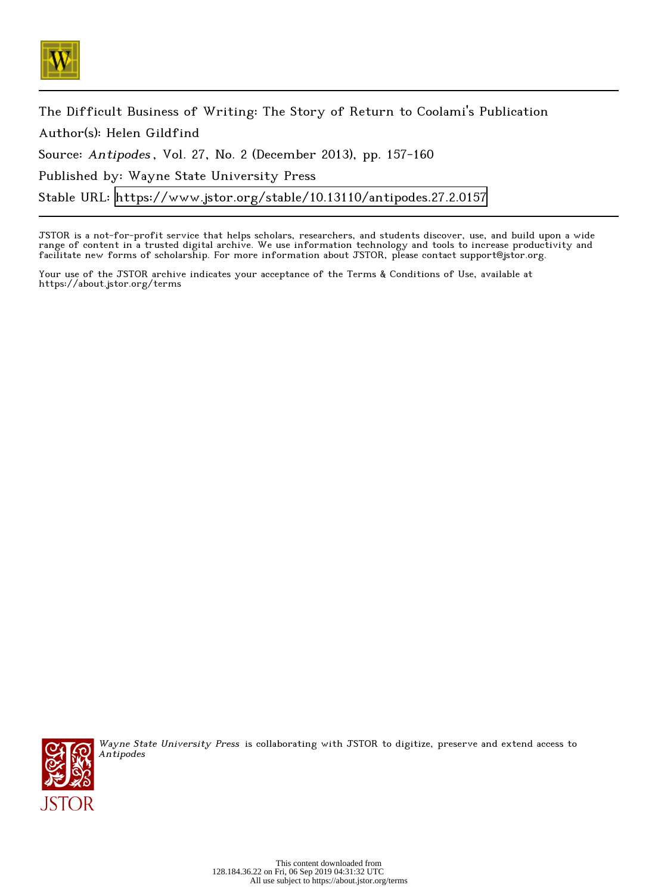

The Difficult Business of Writing: The Story of Return to Coolami's Publication Author(s): Helen Gildfind Source: Antipodes , Vol. 27, No. 2 (December 2013), pp. 157-160 Published by: Wayne State University Press Stable URL:<https://www.jstor.org/stable/10.13110/antipodes.27.2.0157>

JSTOR is a not-for-profit service that helps scholars, researchers, and students discover, use, and build upon a wide range of content in a trusted digital archive. We use information technology and tools to increase productivity and facilitate new forms of scholarship. For more information about JSTOR, please contact support@jstor.org.

Your use of the JSTOR archive indicates your acceptance of the Terms & Conditions of Use, available at https://about.jstor.org/terms



Wayne State University Press is collaborating with JSTOR to digitize, preserve and extend access to Antipodes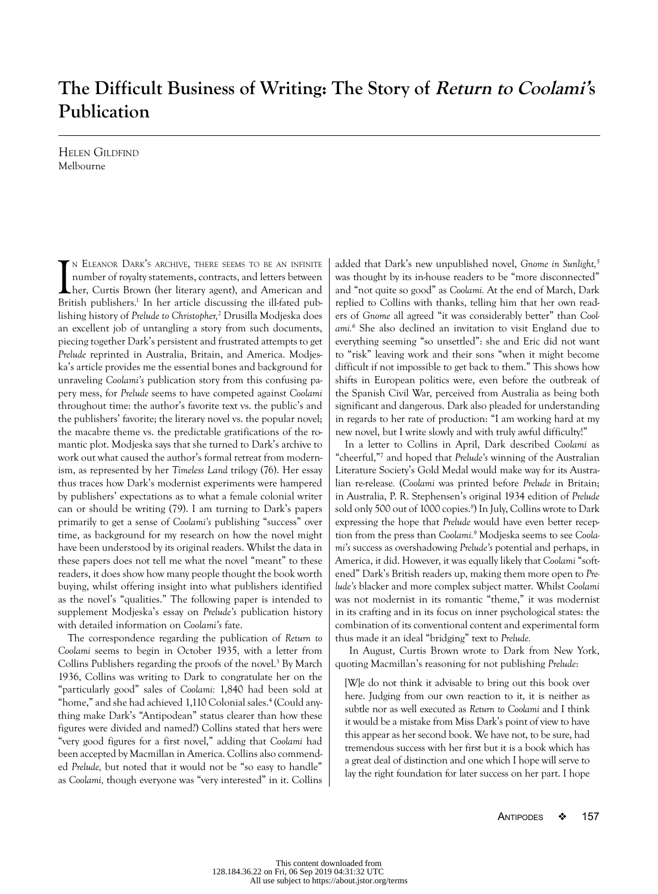## **The Difficult Business of Writing: The Story of Return to Coolami's Publication**

Helen Gildfind Melbourne

I <sup>n</sup> Eleanor Dark's archive, there seems to be an infinite number of royalty statements, contracts, and letters between her, Curtis Brown (her literary agent), and American and British publishers.<sup>1</sup> In her article discussing the ill-fated publishing history of *Prelude to Christopher,*<sup>2</sup> Drusilla Modjeska does an excellent job of untangling a story from such documents, piecing together Dark's persistent and frustrated attempts to get *Prelude* reprinted in Australia, Britain, and America. Modjeska's article provides me the essential bones and background for unraveling *Coolami's* publication story from this confusing papery mess, for *Prelude* seems to have competed against *Coolami* throughout time: the author's favorite text vs. the public's and the publishers' favorite; the literary novel vs. the popular novel; the macabre theme vs. the predictable gratifications of the romantic plot. Modjeska says that she turned to Dark's archive to work out what caused the author's formal retreat from modernism, as represented by her *Timeless Land* trilogy (76). Her essay thus traces how Dark's modernist experiments were hampered by publishers' expectations as to what a female colonial writer can or should be writing (79). I am turning to Dark's papers primarily to get a sense of *Coolami's* publishing "success" over time, as background for my research on how the novel might have been understood by its original readers. Whilst the data in these papers does not tell me what the novel "meant" to these readers, it does show how many people thought the book worth buying, whilst offering insight into what publishers identified as the novel's "qualities." The following paper is intended to supplement Modjeska's essay on *Prelude's* publication history with detailed information on *Coolami's* fate.

The correspondence regarding the publication of *Return to Coolami* seems to begin in October 1935, with a letter from Collins Publishers regarding the proofs of the novel.<sup>3</sup> By March 1936, Collins was writing to Dark to congratulate her on the "particularly good" sales of *Coolami:* 1,840 had been sold at "home," and she had achieved 1,110 Colonial sales.4 (Could anything make Dark's "Antipodean" status clearer than how these figures were divided and named?) Collins stated that hers were "very good figures for a first novel," adding that *Coolami* had been accepted by Macmillan in America. Collins also commended *Prelude,* but noted that it would not be "so easy to handle" as *Coolami,* though everyone was "very interested" in it. Collins

added that Dark's new unpublished novel, *Gnome in Sunlight,5* was thought by its in-house readers to be "more disconnected" and "not quite so good" as *Coolami.* At the end of March, Dark replied to Collins with thanks, telling him that her own readers of *Gnome* all agreed "it was considerably better" than *Coolami.6* She also declined an invitation to visit England due to everything seeming "so unsettled": she and Eric did not want to "risk" leaving work and their sons "when it might become difficult if not impossible to get back to them." This shows how shifts in European politics were, even before the outbreak of the Spanish Civil War, perceived from Australia as being both significant and dangerous. Dark also pleaded for understanding in regards to her rate of production: "I am working hard at my new novel, but I write slowly and with truly awful difficulty!"

In a letter to Collins in April, Dark described *Coolami* as "cheerful,"7 and hoped that *Prelude's* winning of the Australian Literature Society's Gold Medal would make way for its Australian re-release*.* (*Coolami* was printed before *Prelude* in Britain; in Australia, P. R. Stephensen's original 1934 edition of *Prelude*  sold only 500 out of 1000 copies.<sup>8</sup>) In July, Collins wrote to Dark expressing the hope that *Prelude* would have even better reception from the press than *Coolami.9* Modjeska seems to see *Coolami's* success as overshadowing *Prelude's* potential and perhaps, in America, it did. However, it was equally likely that *Coolami* "softened" Dark's British readers up, making them more open to *Prelude's* blacker and more complex subject matter. Whilst *Coolami*  was not modernist in its romantic "theme," it was modernist in its crafting and in its focus on inner psychological states: the combination of its conventional content and experimental form thus made it an ideal "bridging" text to *Prelude.*

In August, Curtis Brown wrote to Dark from New York, quoting Macmillan's reasoning for not publishing *Prelude*:

[W]e do not think it advisable to bring out this book over here. Judging from our own reaction to it, it is neither as subtle nor as well executed as *Return to Coolami* and I think it would be a mistake from Miss Dark's point of view to have this appear as her second book. We have not, to be sure, had tremendous success with her first but it is a book which has a great deal of distinction and one which I hope will serve to lay the right foundation for later success on her part. I hope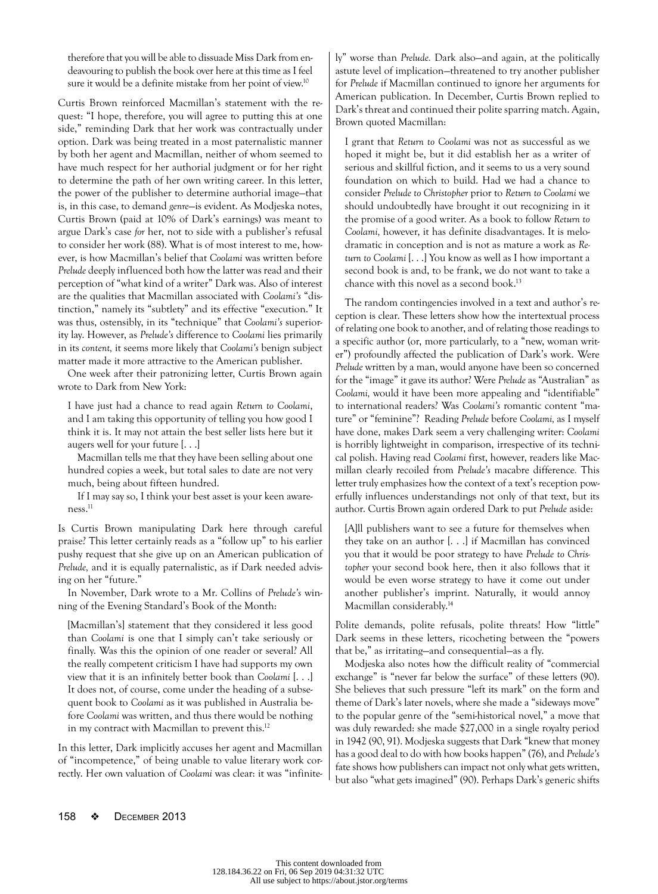therefore that you will be able to dissuade Miss Dark from endeavouring to publish the book over here at this time as I feel sure it would be a definite mistake from her point of view.<sup>10</sup>

Curtis Brown reinforced Macmillan's statement with the request: "I hope, therefore, you will agree to putting this at one side," reminding Dark that her work was contractually under option. Dark was being treated in a most paternalistic manner by both her agent and Macmillan, neither of whom seemed to have much respect for her authorial judgment or for her right to determine the path of her own writing career. In this letter, the power of the publisher to determine authorial image—that is, in this case, to demand *genre*—is evident. As Modjeska notes, Curtis Brown (paid at 10% of Dark's earnings) was meant to argue Dark's case *for* her, not to side with a publisher's refusal to consider her work (88). What is of most interest to me, however, is how Macmillan's belief that *Coolami* was written before *Prelude* deeply influenced both how the latter was read and their perception of "what kind of a writer" Dark was. Also of interest are the qualities that Macmillan associated with *Coolami's* "distinction," namely its "subtlety" and its effective "execution." It was thus, ostensibly, in its "technique" that *Coolami's* superiority lay. However, as *Prelude's* difference to *Coolami* lies primarily in its *content,* it seems more likely that *Coolami's* benign subject matter made it more attractive to the American publisher.

One week after their patronizing letter, Curtis Brown again wrote to Dark from New York:

I have just had a chance to read again *Return to Coolami*, and I am taking this opportunity of telling you how good I think it is. It may not attain the best seller lists here but it augers well for your future [. . .]

Macmillan tells me that they have been selling about one hundred copies a week, but total sales to date are not very much, being about fifteen hundred.

If I may say so, I think your best asset is your keen aware $ness.<sup>11</sup>$ 

Is Curtis Brown manipulating Dark here through careful praise? This letter certainly reads as a "follow up" to his earlier pushy request that she give up on an American publication of *Prelude,* and it is equally paternalistic, as if Dark needed advising on her "future."

In November, Dark wrote to a Mr. Collins of *Prelude's* winning of the Evening Standard's Book of the Month:

[Macmillan's] statement that they considered it less good than *Coolami* is one that I simply can't take seriously or finally. Was this the opinion of one reader or several? All the really competent criticism I have had supports my own view that it is an infinitely better book than *Coolami* [. . .] It does not, of course, come under the heading of a subsequent book to *Coolami* as it was published in Australia before *Coolami* was written, and thus there would be nothing in my contract with Macmillan to prevent this.<sup>12</sup>

In this letter, Dark implicitly accuses her agent and Macmillan of "incompetence," of being unable to value literary work correctly. Her own valuation of *Coolami* was clear: it was "infinitely" worse than *Prelude.* Dark also—and again, at the politically astute level of implication—threatened to try another publisher for *Prelude* if Macmillan continued to ignore her arguments for American publication. In December, Curtis Brown replied to Dark's threat and continued their polite sparring match. Again, Brown quoted Macmillan:

I grant that *Return to Coolami* was not as successful as we hoped it might be, but it did establish her as a writer of serious and skillful fiction, and it seems to us a very sound foundation on which to build. Had we had a chance to consider *Prelude to Christopher* prior to *Return to Coolami* we should undoubtedly have brought it out recognizing in it the promise of a good writer. As a book to follow *Return to Coolami,* however, it has definite disadvantages. It is melodramatic in conception and is not as mature a work as *Return to Coolami* [. . .] You know as well as I how important a second book is and, to be frank, we do not want to take a chance with this novel as a second book.<sup>13</sup>

The random contingencies involved in a text and author's reception is clear. These letters show how the intertextual process of relating one book to another, and of relating those readings to a specific author (or, more particularly, to a "new, woman writer") profoundly affected the publication of Dark's work. Were *Prelude* written by a man, would anyone have been so concerned for the "image" it gave its author? Were *Prelude* as "Australian" as *Coolami,* would it have been more appealing and "identifiable" to international readers? Was *Coolami's* romantic content "mature" or "feminine"? Reading *Prelude* before *Coolami,* as I myself have done, makes Dark seem a very challenging writer: *Coolami*  is horribly lightweight in comparison, irrespective of its technical polish. Having read *Coolami* first, however, readers like Macmillan clearly recoiled from *Prelude's* macabre difference*.* This letter truly emphasizes how the context of a text's reception powerfully influences understandings not only of that text, but its author. Curtis Brown again ordered Dark to put *Prelude* aside:

[A]ll publishers want to see a future for themselves when they take on an author [. . .] if Macmillan has convinced you that it would be poor strategy to have *Prelude to Christopher* your second book here, then it also follows that it would be even worse strategy to have it come out under another publisher's imprint. Naturally, it would annoy Macmillan considerably.14

Polite demands, polite refusals, polite threats! How "little" Dark seems in these letters, ricocheting between the "powers that be," as irritating—and consequential—as a fly.

Modjeska also notes how the difficult reality of "commercial exchange" is "never far below the surface" of these letters (90). She believes that such pressure "left its mark" on the form and theme of Dark's later novels, where she made a "sideways move" to the popular genre of the "semi-historical novel," a move that was duly rewarded: she made \$27,000 in a single royalty period in 1942 (90, 91). Modjeska suggests that Dark "knew that money has a good deal to do with how books happen" (76), and *Prelude's*  fate shows how publishers can impact not only what gets written, but also "what gets imagined" (90). Perhaps Dark's generic shifts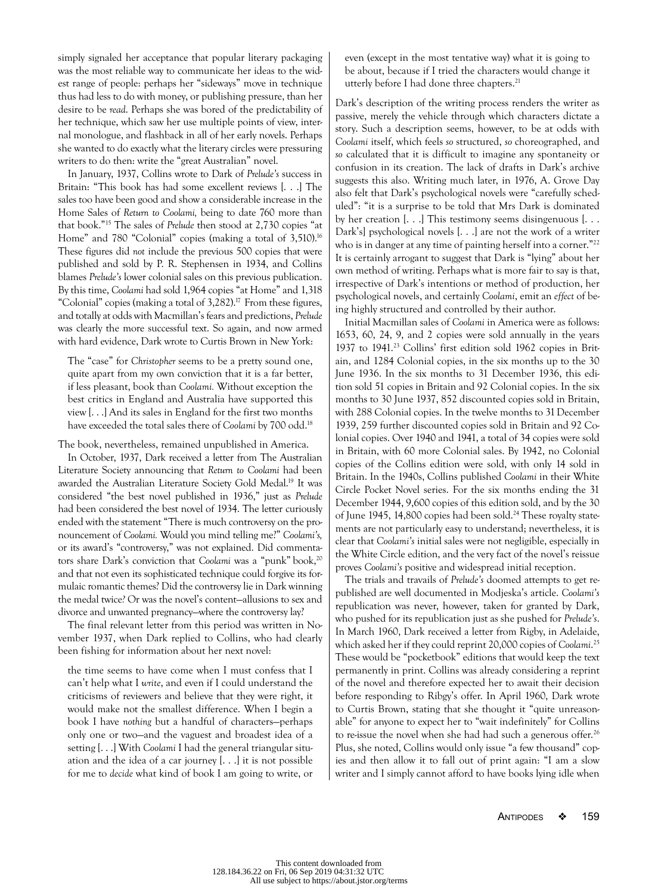simply signaled her acceptance that popular literary packaging was the most reliable way to communicate her ideas to the widest range of people: perhaps her "sideways" move in technique thus had less to do with money, or publishing pressure, than her desire to be *read*. Perhaps she was bored of the predictability of her technique, which saw her use multiple points of view, internal monologue, and flashback in all of her early novels. Perhaps she wanted to do exactly what the literary circles were pressuring writers to do then: write the "great Australian" novel.

In January, 1937, Collins wrote to Dark of *Prelude's* success in Britain: "This book has had some excellent reviews [. . .] The sales too have been good and show a considerable increase in the Home Sales of *Return to Coolami,* being to date 760 more than that book."15 The sales of *Prelude* then stood at 2,730 copies "at Home" and 780 "Colonial" copies (making a total of 3,510).<sup>16</sup> These figures did *not* include the previous 500 copies that were published and sold by P. R. Stephensen in 1934, and Collins blames *Prelude's* lower colonial sales on this previous publication. By this time, *Coolami* had sold 1,964 copies "at Home" and 1,318 "Colonial" copies (making a total of  $3,282$ ).<sup>17</sup> From these figures, and totally at odds with Macmillan's fears and predictions, *Prelude*  was clearly the more successful text. So again, and now armed with hard evidence, Dark wrote to Curtis Brown in New York:

The "case" for *Christopher* seems to be a pretty sound one, quite apart from my own conviction that it is a far better, if less pleasant, book than *Coolami.* Without exception the best critics in England and Australia have supported this view [. . .] And its sales in England for the first two months have exceeded the total sales there of *Coolami* by 700 odd.18

The book, nevertheless, remained unpublished in America.

In October, 1937, Dark received a letter from The Australian Literature Society announcing that *Return to Coolami* had been awarded the Australian Literature Society Gold Medal.19 It was considered "the best novel published in 1936," just as *Prelude*  had been considered the best novel of 1934. The letter curiously ended with the statement "There is much controversy on the pronouncement of *Coolami.* Would you mind telling me?" *Coolami's,*  or its award's "controversy," was not explained. Did commentators share Dark's conviction that *Coolami* was a "punk" book,<sup>20</sup> and that not even its sophisticated technique could forgive its formulaic romantic themes? Did the controversy lie in Dark winning the medal twice*?* Or was the novel's content—allusions to sex and divorce and unwanted pregnancy—where the controversy lay?

The final relevant letter from this period was written in November 1937, when Dark replied to Collins, who had clearly been fishing for information about her next novel:

the time seems to have come when I must confess that I can't help what I *write*, and even if I could understand the criticisms of reviewers and believe that they were right, it would make not the smallest difference. When I begin a book I have *nothing* but a handful of characters—perhaps only one or two—and the vaguest and broadest idea of a setting [. . .] With *Coolami* I had the general triangular situation and the idea of a car journey [. . .] it is not possible for me to *decide* what kind of book I am going to write, or even (except in the most tentative way) what it is going to be about, because if I tried the characters would change it utterly before I had done three chapters.<sup>21</sup>

Dark's description of the writing process renders the writer as passive, merely the vehicle through which characters dictate a story. Such a description seems, however, to be at odds with *Coolami* itself, which feels *so* structured, *so* choreographed, and *so* calculated that it is difficult to imagine any spontaneity or confusion in its creation. The lack of drafts in Dark's archive suggests this also. Writing much later, in 1976, A. Grove Day also felt that Dark's psychological novels were "carefully scheduled": "it is a surprise to be told that Mrs Dark is dominated by her creation [. . .] This testimony seems disingenuous [. . . Dark's] psychological novels [. . .] are not the work of a writer who is in danger at any time of painting herself into a corner."<sup>22</sup> It is certainly arrogant to suggest that Dark is "lying" about her own method of writing. Perhaps what is more fair to say is that, irrespective of Dark's intentions or method of production, her psychological novels, and certainly *Coolami*, emit an *effect* of being highly structured and controlled by their author.

Initial Macmillan sales of *Coolami* in America were as follows: 1653, 60, 24, 9, and 2 copies were sold annually in the years 1937 to 1941.23 Collins' first edition sold 1962 copies in Britain, and 1284 Colonial copies, in the six months up to the 30 June 1936. In the six months to 31 December 1936, this edition sold 51 copies in Britain and 92 Colonial copies. In the six months to 30 June 1937, 852 discounted copies sold in Britain, with 288 Colonial copies. In the twelve months to 31December 1939, 259 further discounted copies sold in Britain and 92 Colonial copies. Over 1940 and 1941, a total of 34 copies were sold in Britain, with 60 more Colonial sales. By 1942, no Colonial copies of the Collins edition were sold, with only 14 sold in Britain. In the 1940s, Collins published *Coolami* in their White Circle Pocket Novel series. For the six months ending the 31 December 1944, 9,600 copies of this edition sold, and by the 30 of June 1945, 14,800 copies had been sold.<sup>24</sup> These royalty statements are not particularly easy to understand; nevertheless, it is clear that *Coolami's* initial sales were not negligible, especially in the White Circle edition, and the very fact of the novel's reissue proves *Coolami's* positive and widespread initial reception.

The trials and travails of *Prelude's* doomed attempts to get republished are well documented in Modjeska's article. *Coolami's*  republication was never, however, taken for granted by Dark, who pushed for its republication just as she pushed for *Prelude's*. In March 1960, Dark received a letter from Rigby, in Adelaide, which asked her if they could reprint 20,000 copies of *Coolami*. 25 These would be "pocketbook" editions that would keep the text permanently in print. Collins was already considering a reprint of the novel and therefore expected her to await their decision before responding to Ribgy's offer. In April 1960, Dark wrote to Curtis Brown, stating that she thought it "quite unreasonable" for anyone to expect her to "wait indefinitely" for Collins to re-issue the novel when she had had such a generous offer.<sup>26</sup> Plus, she noted, Collins would only issue "a few thousand" copies and then allow it to fall out of print again: "I am a slow writer and I simply cannot afford to have books lying idle when